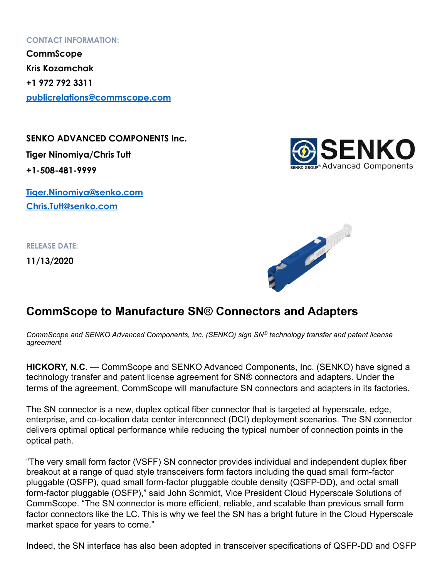## **CONTACT INFORMATION:**

**CommScope Kris Kozamchak +1 972 792 3311 [publicrelations@commscope.com](mailto:publicrelations@commscope.com)**

**SENKO ADVANCED COMPONENTS Inc. Tiger Ninomiya/Chris Tutt +1-508-481-9999** 

**[Tiger.Ninomiya@senko.com](mailto:Tiger.Ninomiya@senko.com) [Chris.Tutt@senko.com](mailto:Chris.Tutt@senko.com)**

**RELEASE DATE:** 

**11/13/2020**





## **CommScope to Manufacture SN® Connectors and Adapters**

*CommScope and SENKO Advanced Components, Inc. (SENKO) sign SN® technology transfer and patent license agreement* 

**HICKORY, N.C.** — CommScope and SENKO Advanced Components, Inc. (SENKO) have signed a technology transfer and patent license agreement for SN® connectors and adapters. Under the terms of the agreement, CommScope will manufacture SN connectors and adapters in its factories.

The SN connector is a new, duplex optical fiber connector that is targeted at hyperscale, edge, enterprise, and co-location data center interconnect (DCI) deployment scenarios. The SN connector delivers optimal optical performance while reducing the typical number of connection points in the optical path.

"The very small form factor (VSFF) SN connector provides individual and independent duplex fiber breakout at a range of quad style transceivers form factors including the quad small form-factor pluggable (QSFP), quad small form-factor pluggable double density (QSFP-DD), and octal small form-factor pluggable (OSFP)," said John Schmidt, Vice President Cloud Hyperscale Solutions of CommScope. "The SN connector is more efficient, reliable, and scalable than previous small form factor connectors like the LC. This is why we feel the SN has a bright future in the Cloud Hyperscale market space for years to come."

Indeed, the SN interface has also been adopted in transceiver specifications of QSFP-DD and OSFP